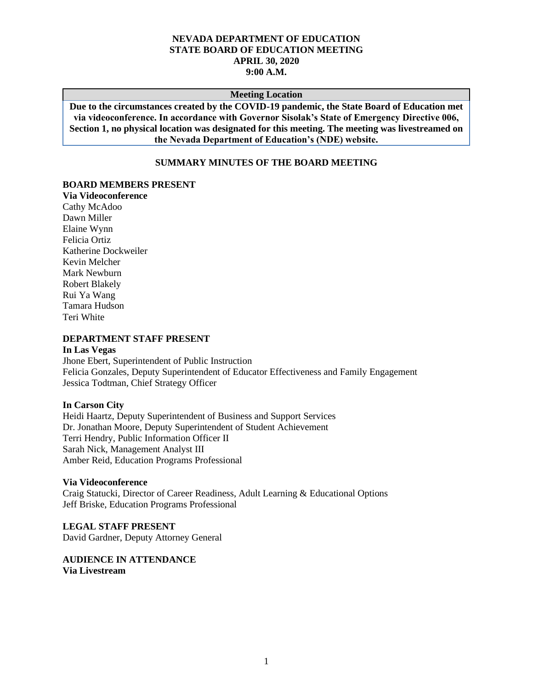### **NEVADA DEPARTMENT OF EDUCATION STATE BOARD OF EDUCATION MEETING APRIL 30, 2020 9:00 A.M.**

#### **Meeting Location**

**Due to the circumstances created by the COVID-19 pandemic, the State Board of Education met via videoconference. In accordance with Governor Sisolak's State of Emergency Directive 006, Section 1, no physical location was designated for this meeting. The meeting was livestreamed on the Nevada Department of Education's (NDE) website.**

### **SUMMARY MINUTES OF THE BOARD MEETING**

# **BOARD MEMBERS PRESENT**

**Via Videoconference** Cathy McAdoo Dawn Miller Elaine Wynn Felicia Ortiz Katherine Dockweiler Kevin Melcher Mark Newburn Robert Blakely Rui Ya Wang Tamara Hudson Teri White

#### **DEPARTMENT STAFF PRESENT**

### **In Las Vegas**

Jhone Ebert, Superintendent of Public Instruction Felicia Gonzales, Deputy Superintendent of Educator Effectiveness and Family Engagement Jessica Todtman, Chief Strategy Officer

#### **In Carson City**

Heidi Haartz, Deputy Superintendent of Business and Support Services Dr. Jonathan Moore, Deputy Superintendent of Student Achievement Terri Hendry, Public Information Officer II Sarah Nick, Management Analyst III Amber Reid, Education Programs Professional

#### **Via Videoconference**

Craig Statucki, Director of Career Readiness, Adult Learning & Educational Options Jeff Briske, Education Programs Professional

**LEGAL STAFF PRESENT** David Gardner, Deputy Attorney General

**AUDIENCE IN ATTENDANCE Via Livestream**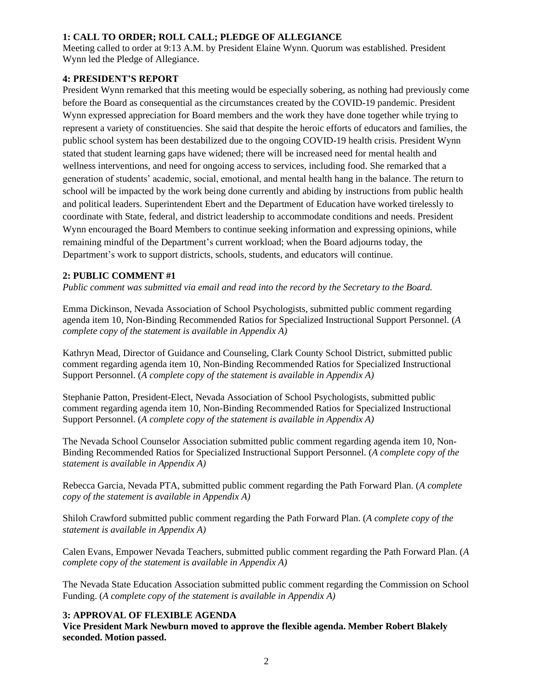## **1: CALL TO ORDER; ROLL CALL; PLEDGE OF ALLEGIANCE**

Meeting called to order at 9:13 A.M. by President Elaine Wynn. Quorum was established. President Wynn led the Pledge of Allegiance.

## **4: PRESIDENT'S REPORT**

President Wynn remarked that this meeting would be especially sobering, as nothing had previously come before the Board as consequential as the circumstances created by the COVID-19 pandemic. President Wynn expressed appreciation for Board members and the work they have done together while trying to represent a variety of constituencies. She said that despite the heroic efforts of educators and families, the public school system has been destabilized due to the ongoing COVID-19 health crisis. President Wynn stated that student learning gaps have widened; there will be increased need for mental health and wellness interventions, and need for ongoing access to services, including food. She remarked that a generation of students' academic, social, emotional, and mental health hang in the balance. The return to school will be impacted by the work being done currently and abiding by instructions from public health and political leaders. Superintendent Ebert and the Department of Education have worked tirelessly to coordinate with State, federal, and district leadership to accommodate conditions and needs. President Wynn encouraged the Board Members to continue seeking information and expressing opinions, while remaining mindful of the Department's current workload; when the Board adjourns today, the Department's work to support districts, schools, students, and educators will continue.

## **2: PUBLIC COMMENT #1**

*Public comment was submitted via email and read into the record by the Secretary to the Board.*

Emma Dickinson, Nevada Association of School Psychologists, submitted public comment regarding agenda item 10, Non-Binding Recommended Ratios for Specialized Instructional Support Personnel. (*A complete copy of the statement is available in Appendix A)*

Kathryn Mead, Director of Guidance and Counseling, Clark County School District, submitted public comment regarding agenda item 10, Non-Binding Recommended Ratios for Specialized Instructional Support Personnel. (*A complete copy of the statement is available in Appendix A)*

Stephanie Patton, President-Elect, Nevada Association of School Psychologists, submitted public comment regarding agenda item 10, Non-Binding Recommended Ratios for Specialized Instructional Support Personnel. (*A complete copy of the statement is available in Appendix A)*

The Nevada School Counselor Association submitted public comment regarding agenda item 10, Non-Binding Recommended Ratios for Specialized Instructional Support Personnel. (*A complete copy of the statement is available in Appendix A)*

Rebecca Garcia, Nevada PTA, submitted public comment regarding the Path Forward Plan. (*A complete copy of the statement is available in Appendix A)*

Shiloh Crawford submitted public comment regarding the Path Forward Plan. (*A complete copy of the statement is available in Appendix A)*

Calen Evans, Empower Nevada Teachers, submitted public comment regarding the Path Forward Plan. (*A complete copy of the statement is available in Appendix A)*

The Nevada State Education Association submitted public comment regarding the Commission on School Funding. (*A complete copy of the statement is available in Appendix A)*

# **3: APPROVAL OF FLEXIBLE AGENDA**

**Vice President Mark Newburn moved to approve the flexible agenda. Member Robert Blakely seconded. Motion passed.**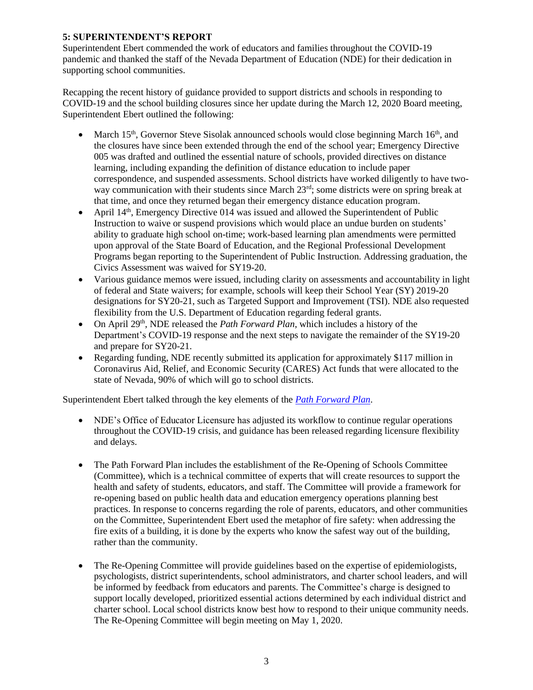## **5: SUPERINTENDENT'S REPORT**

Superintendent Ebert commended the work of educators and families throughout the COVID-19 pandemic and thanked the staff of the Nevada Department of Education (NDE) for their dedication in supporting school communities.

Recapping the recent history of guidance provided to support districts and schools in responding to COVID-19 and the school building closures since her update during the March 12, 2020 Board meeting, Superintendent Ebert outlined the following:

- March  $15<sup>th</sup>$ , Governor Steve Sisolak announced schools would close beginning March  $16<sup>th</sup>$ , and the closures have since been extended through the end of the school year; Emergency Directive 005 was drafted and outlined the essential nature of schools, provided directives on distance learning, including expanding the definition of distance education to include paper correspondence, and suspended assessments. School districts have worked diligently to have twoway communication with their students since March 23<sup>rd</sup>; some districts were on spring break at that time, and once they returned began their emergency distance education program.
- April 14<sup>th</sup>, Emergency Directive 014 was issued and allowed the Superintendent of Public Instruction to waive or suspend provisions which would place an undue burden on students' ability to graduate high school on-time; work-based learning plan amendments were permitted upon approval of the State Board of Education, and the Regional Professional Development Programs began reporting to the Superintendent of Public Instruction. Addressing graduation, the Civics Assessment was waived for SY19-20.
- Various guidance memos were issued, including clarity on assessments and accountability in light of federal and State waivers; for example, schools will keep their School Year (SY) 2019-20 designations for SY20-21, such as Targeted Support and Improvement (TSI). NDE also requested flexibility from the U.S. Department of Education regarding federal grants.
- On April 29th, NDE released the *Path Forward Plan*, which includes a history of the Department's COVID-19 response and the next steps to navigate the remainder of the SY19-20 and prepare for SY20-21.
- Regarding funding, NDE recently submitted its application for approximately \$117 million in Coronavirus Aid, Relief, and Economic Security (CARES) Act funds that were allocated to the state of Nevada, 90% of which will go to school districts.

Superintendent Ebert talked through the key elements of the *[Path Forward Plan](http://nde.doe.staging.nv.gov/uploadedFiles/ndedoenvgov/content/News__Media/Press_Releases/2020_Documents/NevadaDepartmentofEducationPathForwardPlanResponsetoCOVID-19.pdf)*.

- NDE's Office of Educator Licensure has adjusted its workflow to continue regular operations throughout the COVID-19 crisis, and guidance has been released regarding licensure flexibility and delays.
- The Path Forward Plan includes the establishment of the Re-Opening of Schools Committee (Committee), which is a technical committee of experts that will create resources to support the health and safety of students, educators, and staff. The Committee will provide a framework for re-opening based on public health data and education emergency operations planning best practices. In response to concerns regarding the role of parents, educators, and other communities on the Committee, Superintendent Ebert used the metaphor of fire safety: when addressing the fire exits of a building, it is done by the experts who know the safest way out of the building, rather than the community.
- The Re-Opening Committee will provide guidelines based on the expertise of epidemiologists, psychologists, district superintendents, school administrators, and charter school leaders, and will be informed by feedback from educators and parents. The Committee's charge is designed to support locally developed, prioritized essential actions determined by each individual district and charter school. Local school districts know best how to respond to their unique community needs. The Re-Opening Committee will begin meeting on May 1, 2020.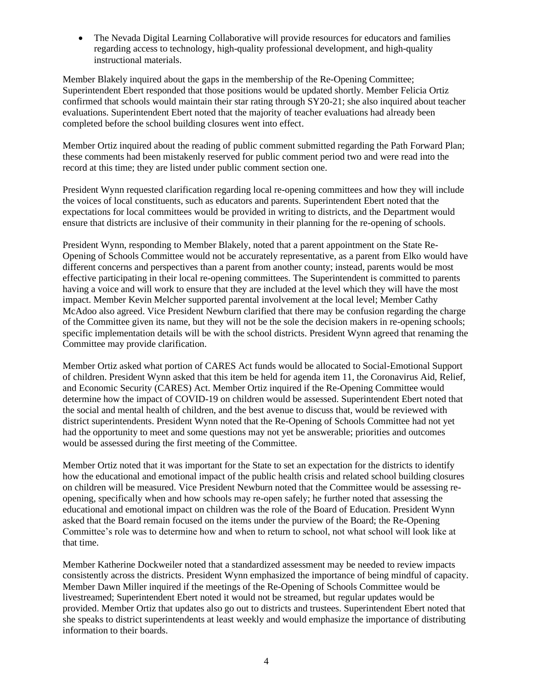• The Nevada Digital Learning Collaborative will provide resources for educators and families regarding access to technology, high-quality professional development, and high-quality instructional materials.

Member Blakely inquired about the gaps in the membership of the Re-Opening Committee; Superintendent Ebert responded that those positions would be updated shortly. Member Felicia Ortiz confirmed that schools would maintain their star rating through SY20-21; she also inquired about teacher evaluations. Superintendent Ebert noted that the majority of teacher evaluations had already been completed before the school building closures went into effect.

Member Ortiz inquired about the reading of public comment submitted regarding the Path Forward Plan; these comments had been mistakenly reserved for public comment period two and were read into the record at this time; they are listed under public comment section one.

President Wynn requested clarification regarding local re-opening committees and how they will include the voices of local constituents, such as educators and parents. Superintendent Ebert noted that the expectations for local committees would be provided in writing to districts, and the Department would ensure that districts are inclusive of their community in their planning for the re-opening of schools.

President Wynn, responding to Member Blakely, noted that a parent appointment on the State Re-Opening of Schools Committee would not be accurately representative, as a parent from Elko would have different concerns and perspectives than a parent from another county; instead, parents would be most effective participating in their local re-opening committees. The Superintendent is committed to parents having a voice and will work to ensure that they are included at the level which they will have the most impact. Member Kevin Melcher supported parental involvement at the local level; Member Cathy McAdoo also agreed. Vice President Newburn clarified that there may be confusion regarding the charge of the Committee given its name, but they will not be the sole the decision makers in re-opening schools; specific implementation details will be with the school districts. President Wynn agreed that renaming the Committee may provide clarification.

Member Ortiz asked what portion of CARES Act funds would be allocated to Social-Emotional Support of children. President Wynn asked that this item be held for agenda item 11, the Coronavirus Aid, Relief, and Economic Security (CARES) Act. Member Ortiz inquired if the Re-Opening Committee would determine how the impact of COVID-19 on children would be assessed. Superintendent Ebert noted that the social and mental health of children, and the best avenue to discuss that, would be reviewed with district superintendents. President Wynn noted that the Re-Opening of Schools Committee had not yet had the opportunity to meet and some questions may not yet be answerable; priorities and outcomes would be assessed during the first meeting of the Committee.

Member Ortiz noted that it was important for the State to set an expectation for the districts to identify how the educational and emotional impact of the public health crisis and related school building closures on children will be measured. Vice President Newburn noted that the Committee would be assessing reopening, specifically when and how schools may re-open safely; he further noted that assessing the educational and emotional impact on children was the role of the Board of Education. President Wynn asked that the Board remain focused on the items under the purview of the Board; the Re-Opening Committee's role was to determine how and when to return to school, not what school will look like at that time.

Member Katherine Dockweiler noted that a standardized assessment may be needed to review impacts consistently across the districts. President Wynn emphasized the importance of being mindful of capacity. Member Dawn Miller inquired if the meetings of the Re-Opening of Schools Committee would be livestreamed; Superintendent Ebert noted it would not be streamed, but regular updates would be provided. Member Ortiz that updates also go out to districts and trustees. Superintendent Ebert noted that she speaks to district superintendents at least weekly and would emphasize the importance of distributing information to their boards.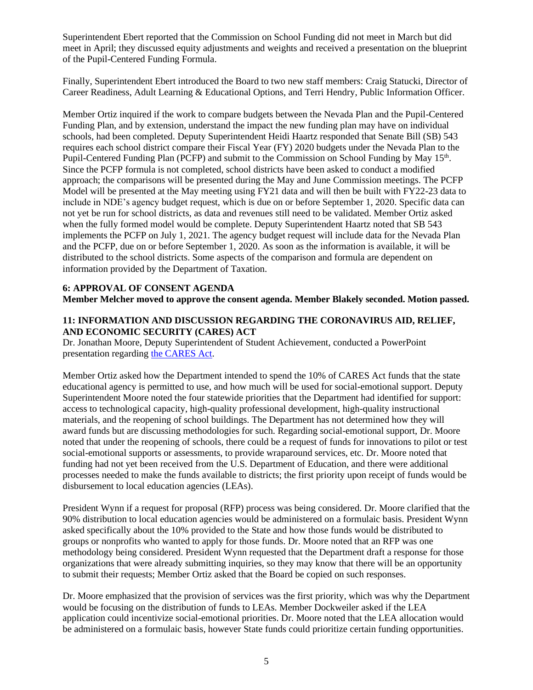Superintendent Ebert reported that the Commission on School Funding did not meet in March but did meet in April; they discussed equity adjustments and weights and received a presentation on the blueprint of the Pupil-Centered Funding Formula.

Finally, Superintendent Ebert introduced the Board to two new staff members: Craig Statucki, Director of Career Readiness, Adult Learning & Educational Options, and Terri Hendry, Public Information Officer.

Member Ortiz inquired if the work to compare budgets between the Nevada Plan and the Pupil-Centered Funding Plan, and by extension, understand the impact the new funding plan may have on individual schools, had been completed. Deputy Superintendent Heidi Haartz responded that Senate Bill (SB) 543 requires each school district compare their Fiscal Year (FY) 2020 budgets under the Nevada Plan to the Pupil-Centered Funding Plan (PCFP) and submit to the Commission on School Funding by May 15<sup>th</sup>. Since the PCFP formula is not completed, school districts have been asked to conduct a modified approach; the comparisons will be presented during the May and June Commission meetings. The PCFP Model will be presented at the May meeting using FY21 data and will then be built with FY22-23 data to include in NDE's agency budget request, which is due on or before September 1, 2020. Specific data can not yet be run for school districts, as data and revenues still need to be validated. Member Ortiz asked when the fully formed model would be complete. Deputy Superintendent Haartz noted that SB 543 implements the PCFP on July 1, 2021. The agency budget request will include data for the Nevada Plan and the PCFP, due on or before September 1, 2020. As soon as the information is available, it will be distributed to the school districts. Some aspects of the comparison and formula are dependent on information provided by the Department of Taxation.

# **6: APPROVAL OF CONSENT AGENDA**

**Member Melcher moved to approve the consent agenda. Member Blakely seconded. Motion passed.** 

# **11: INFORMATION AND DISCUSSION REGARDING THE CORONAVIRUS AID, RELIEF, AND ECONOMIC SECURITY (CARES) ACT**

Dr. Jonathan Moore, Deputy Superintendent of Student Achievement, conducted a PowerPoint presentation regarding [the CARES Act.](http://www.doe.nv.gov/uploadedFiles/ndedoenvgov/content/Boards_Commissions_Councils/State_Board_of_Education/2020/April/CARESActPPTPresentation11.pdf)

Member Ortiz asked how the Department intended to spend the 10% of CARES Act funds that the state educational agency is permitted to use, and how much will be used for social-emotional support. Deputy Superintendent Moore noted the four statewide priorities that the Department had identified for support: access to technological capacity, high-quality professional development, high-quality instructional materials, and the reopening of school buildings. The Department has not determined how they will award funds but are discussing methodologies for such. Regarding social-emotional support, Dr. Moore noted that under the reopening of schools, there could be a request of funds for innovations to pilot or test social-emotional supports or assessments, to provide wraparound services, etc. Dr. Moore noted that funding had not yet been received from the U.S. Department of Education, and there were additional processes needed to make the funds available to districts; the first priority upon receipt of funds would be disbursement to local education agencies (LEAs).

President Wynn if a request for proposal (RFP) process was being considered. Dr. Moore clarified that the 90% distribution to local education agencies would be administered on a formulaic basis. President Wynn asked specifically about the 10% provided to the State and how those funds would be distributed to groups or nonprofits who wanted to apply for those funds. Dr. Moore noted that an RFP was one methodology being considered. President Wynn requested that the Department draft a response for those organizations that were already submitting inquiries, so they may know that there will be an opportunity to submit their requests; Member Ortiz asked that the Board be copied on such responses.

Dr. Moore emphasized that the provision of services was the first priority, which was why the Department would be focusing on the distribution of funds to LEAs. Member Dockweiler asked if the LEA application could incentivize social-emotional priorities. Dr. Moore noted that the LEA allocation would be administered on a formulaic basis, however State funds could prioritize certain funding opportunities.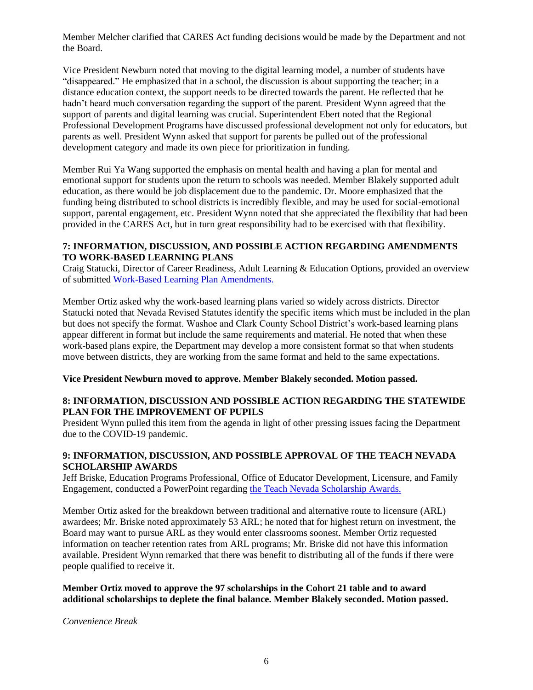Member Melcher clarified that CARES Act funding decisions would be made by the Department and not the Board.

Vice President Newburn noted that moving to the digital learning model, a number of students have "disappeared." He emphasized that in a school, the discussion is about supporting the teacher; in a distance education context, the support needs to be directed towards the parent. He reflected that he hadn't heard much conversation regarding the support of the parent. President Wynn agreed that the support of parents and digital learning was crucial. Superintendent Ebert noted that the Regional Professional Development Programs have discussed professional development not only for educators, but parents as well. President Wynn asked that support for parents be pulled out of the professional development category and made its own piece for prioritization in funding.

Member Rui Ya Wang supported the emphasis on mental health and having a plan for mental and emotional support for students upon the return to schools was needed. Member Blakely supported adult education, as there would be job displacement due to the pandemic. Dr. Moore emphasized that the funding being distributed to school districts is incredibly flexible, and may be used for social-emotional support, parental engagement, etc. President Wynn noted that she appreciated the flexibility that had been provided in the CARES Act, but in turn great responsibility had to be exercised with that flexibility.

### **7: INFORMATION, DISCUSSION, AND POSSIBLE ACTION REGARDING AMENDMENTS TO WORK-BASED LEARNING PLANS**

Craig Statucki, Director of Career Readiness, Adult Learning & Education Options, provided an overview of submitted [Work-Based Learning Plan Amendments.](http://www.doe.nv.gov/Boards_Commissions_Councils/State_Board_of_Education/2020/April/Support_Materials/)

Member Ortiz asked why the work-based learning plans varied so widely across districts. Director Statucki noted that Nevada Revised Statutes identify the specific items which must be included in the plan but does not specify the format. Washoe and Clark County School District's work-based learning plans appear different in format but include the same requirements and material. He noted that when these work-based plans expire, the Department may develop a more consistent format so that when students move between districts, they are working from the same format and held to the same expectations.

### **Vice President Newburn moved to approve. Member Blakely seconded. Motion passed.**

## **8: INFORMATION, DISCUSSION AND POSSIBLE ACTION REGARDING THE STATEWIDE PLAN FOR THE IMPROVEMENT OF PUPILS**

President Wynn pulled this item from the agenda in light of other pressing issues facing the Department due to the COVID-19 pandemic.

# **9: INFORMATION, DISCUSSION, AND POSSIBLE APPROVAL OF THE TEACH NEVADA SCHOLARSHIP AWARDS**

Jeff Briske, Education Programs Professional, Office of Educator Development, Licensure, and Family Engagement, conducted a PowerPoint regarding [the Teach Nevada Scholarship Awards.](http://www.doe.nv.gov/uploadedFiles/ndedoenvgov/content/Boards_Commissions_Councils/State_Board_of_Education/2020/April/SBECohort21TNVSAwards.pdf)

Member Ortiz asked for the breakdown between traditional and alternative route to licensure (ARL) awardees; Mr. Briske noted approximately 53 ARL; he noted that for highest return on investment, the Board may want to pursue ARL as they would enter classrooms soonest. Member Ortiz requested information on teacher retention rates from ARL programs; Mr. Briske did not have this information available. President Wynn remarked that there was benefit to distributing all of the funds if there were people qualified to receive it.

## **Member Ortiz moved to approve the 97 scholarships in the Cohort 21 table and to award additional scholarships to deplete the final balance. Member Blakely seconded. Motion passed.**

#### *Convenience Break*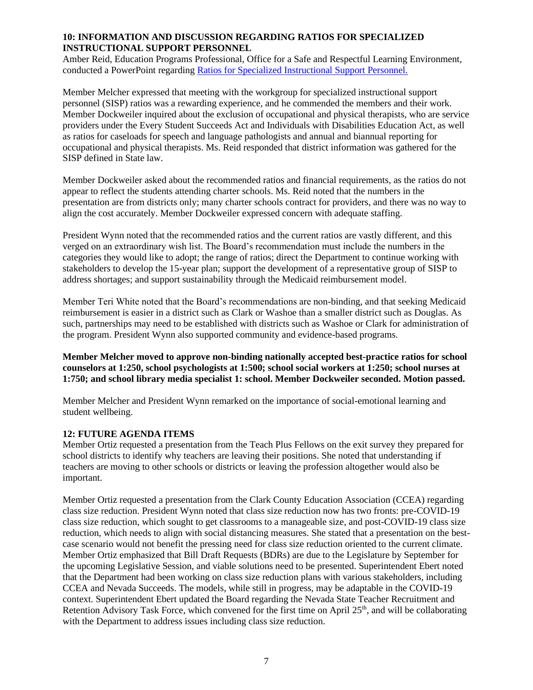### **10: INFORMATION AND DISCUSSION REGARDING RATIOS FOR SPECIALIZED INSTRUCTIONAL SUPPORT PERSONNEL**

Amber Reid, Education Programs Professional, Office for a Safe and Respectful Learning Environment, conducted a PowerPoint regarding [Ratios for Specialized Instructional Support Personnel.](http://www.doe.nv.gov/uploadedFiles/ndedoenvgov/content/Boards_Commissions_Councils/State_Board_of_Education/2020/April/Follow-upSISPRatiosperSB%2089.pdf)

Member Melcher expressed that meeting with the workgroup for specialized instructional support personnel (SISP) ratios was a rewarding experience, and he commended the members and their work. Member Dockweiler inquired about the exclusion of occupational and physical therapists, who are service providers under the Every Student Succeeds Act and Individuals with Disabilities Education Act, as well as ratios for caseloads for speech and language pathologists and annual and biannual reporting for occupational and physical therapists. Ms. Reid responded that district information was gathered for the SISP defined in State law.

Member Dockweiler asked about the recommended ratios and financial requirements, as the ratios do not appear to reflect the students attending charter schools. Ms. Reid noted that the numbers in the presentation are from districts only; many charter schools contract for providers, and there was no way to align the cost accurately. Member Dockweiler expressed concern with adequate staffing.

President Wynn noted that the recommended ratios and the current ratios are vastly different, and this verged on an extraordinary wish list. The Board's recommendation must include the numbers in the categories they would like to adopt; the range of ratios; direct the Department to continue working with stakeholders to develop the 15-year plan; support the development of a representative group of SISP to address shortages; and support sustainability through the Medicaid reimbursement model.

Member Teri White noted that the Board's recommendations are non-binding, and that seeking Medicaid reimbursement is easier in a district such as Clark or Washoe than a smaller district such as Douglas. As such, partnerships may need to be established with districts such as Washoe or Clark for administration of the program. President Wynn also supported community and evidence-based programs.

**Member Melcher moved to approve non-binding nationally accepted best-practice ratios for school counselors at 1:250, school psychologists at 1:500; school social workers at 1:250; school nurses at 1:750; and school library media specialist 1: school. Member Dockweiler seconded. Motion passed.** 

Member Melcher and President Wynn remarked on the importance of social-emotional learning and student wellbeing.

### **12: FUTURE AGENDA ITEMS**

Member Ortiz requested a presentation from the Teach Plus Fellows on the exit survey they prepared for school districts to identify why teachers are leaving their positions. She noted that understanding if teachers are moving to other schools or districts or leaving the profession altogether would also be important.

Member Ortiz requested a presentation from the Clark County Education Association (CCEA) regarding class size reduction. President Wynn noted that class size reduction now has two fronts: pre-COVID-19 class size reduction, which sought to get classrooms to a manageable size, and post-COVID-19 class size reduction, which needs to align with social distancing measures. She stated that a presentation on the bestcase scenario would not benefit the pressing need for class size reduction oriented to the current climate. Member Ortiz emphasized that Bill Draft Requests (BDRs) are due to the Legislature by September for the upcoming Legislative Session, and viable solutions need to be presented. Superintendent Ebert noted that the Department had been working on class size reduction plans with various stakeholders, including CCEA and Nevada Succeeds. The models, while still in progress, may be adaptable in the COVID-19 context. Superintendent Ebert updated the Board regarding the Nevada State Teacher Recruitment and Retention Advisory Task Force, which convened for the first time on April 25<sup>th</sup>, and will be collaborating with the Department to address issues including class size reduction.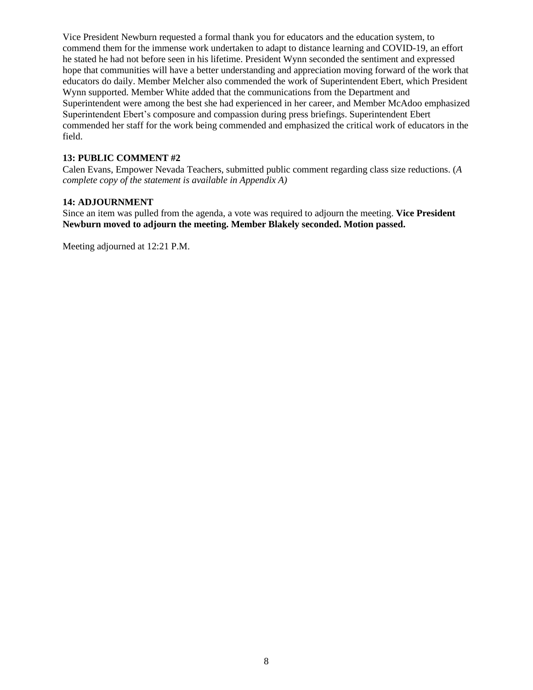Vice President Newburn requested a formal thank you for educators and the education system, to commend them for the immense work undertaken to adapt to distance learning and COVID-19, an effort he stated he had not before seen in his lifetime. President Wynn seconded the sentiment and expressed hope that communities will have a better understanding and appreciation moving forward of the work that educators do daily. Member Melcher also commended the work of Superintendent Ebert, which President Wynn supported. Member White added that the communications from the Department and Superintendent were among the best she had experienced in her career, and Member McAdoo emphasized Superintendent Ebert's composure and compassion during press briefings. Superintendent Ebert commended her staff for the work being commended and emphasized the critical work of educators in the field.

# **13: PUBLIC COMMENT #2**

Calen Evans, Empower Nevada Teachers, submitted public comment regarding class size reductions. (*A complete copy of the statement is available in Appendix A)*

### **14: ADJOURNMENT**

Since an item was pulled from the agenda, a vote was required to adjourn the meeting. **Vice President Newburn moved to adjourn the meeting. Member Blakely seconded. Motion passed.** 

Meeting adjourned at 12:21 P.M.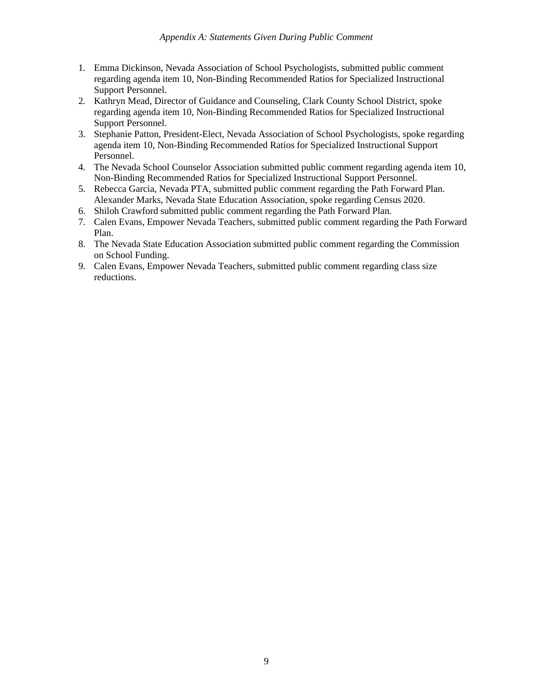- 1. Emma Dickinson, Nevada Association of School Psychologists, submitted public comment regarding agenda item 10, Non-Binding Recommended Ratios for Specialized Instructional Support Personnel.
- 2. Kathryn Mead, Director of Guidance and Counseling, Clark County School District, spoke regarding agenda item 10, Non-Binding Recommended Ratios for Specialized Instructional Support Personnel.
- 3. Stephanie Patton, President-Elect, Nevada Association of School Psychologists, spoke regarding agenda item 10, Non-Binding Recommended Ratios for Specialized Instructional Support Personnel.
- 4. The Nevada School Counselor Association submitted public comment regarding agenda item 10, Non-Binding Recommended Ratios for Specialized Instructional Support Personnel.
- 5. Rebecca Garcia, Nevada PTA, submitted public comment regarding the Path Forward Plan. Alexander Marks, Nevada State Education Association, spoke regarding Census 2020.
- 6. Shiloh Crawford submitted public comment regarding the Path Forward Plan.
- 7. Calen Evans, Empower Nevada Teachers, submitted public comment regarding the Path Forward Plan.
- 8. The Nevada State Education Association submitted public comment regarding the Commission on School Funding.
- 9. Calen Evans, Empower Nevada Teachers, submitted public comment regarding class size reductions.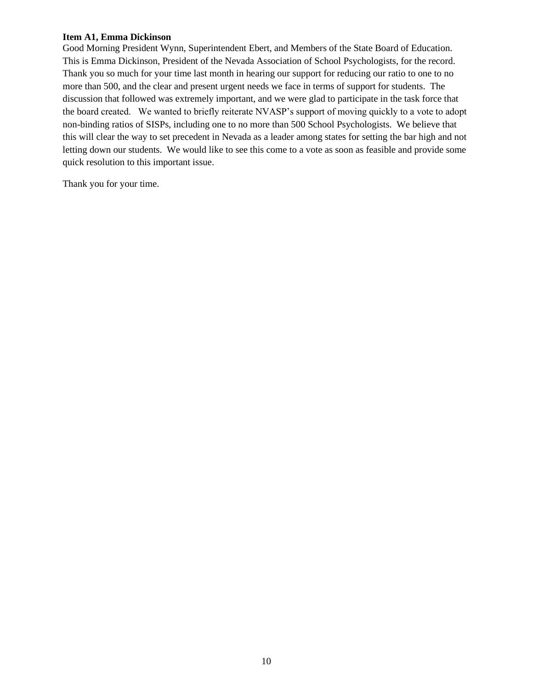### **Item A1, Emma Dickinson**

Good Morning President Wynn, Superintendent Ebert, and Members of the State Board of Education. This is Emma Dickinson, President of the Nevada Association of School Psychologists, for the record. Thank you so much for your time last month in hearing our support for reducing our ratio to one to no more than 500, and the clear and present urgent needs we face in terms of support for students. The discussion that followed was extremely important, and we were glad to participate in the task force that the board created. We wanted to briefly reiterate NVASP's support of moving quickly to a vote to adopt non-binding ratios of SISPs, including one to no more than 500 School Psychologists. We believe that this will clear the way to set precedent in Nevada as a leader among states for setting the bar high and not letting down our students. We would like to see this come to a vote as soon as feasible and provide some quick resolution to this important issue.

Thank you for your time.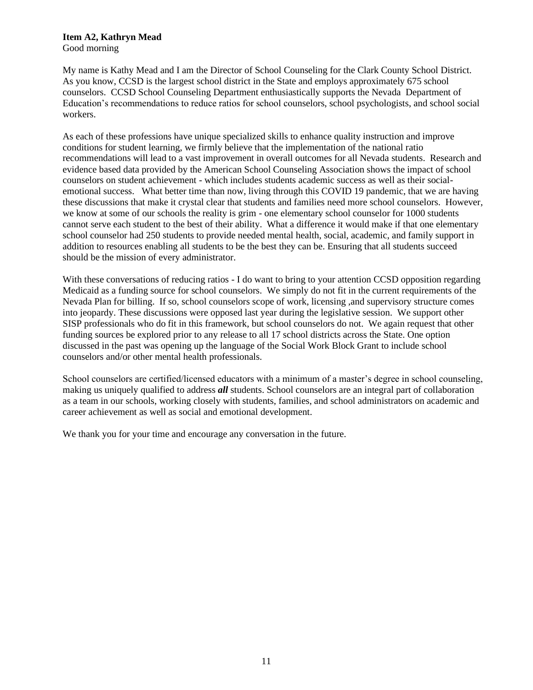## **Item A2, Kathryn Mead**

Good morning

My name is Kathy Mead and I am the Director of School Counseling for the Clark County School District. As you know, CCSD is the largest school district in the State and employs approximately 675 school counselors. CCSD School Counseling Department enthusiastically supports the Nevada Department of Education's recommendations to reduce ratios for school counselors, school psychologists, and school social workers.

As each of these professions have unique specialized skills to enhance quality instruction and improve conditions for student learning, we firmly believe that the implementation of the national ratio recommendations will lead to a vast improvement in overall outcomes for all Nevada students. Research and evidence based data provided by the American School Counseling Association shows the impact of school counselors on student achievement - which includes students academic success as well as their socialemotional success. What better time than now, living through this COVID 19 pandemic, that we are having these discussions that make it crystal clear that students and families need more school counselors. However, we know at some of our schools the reality is grim - one elementary school counselor for 1000 students cannot serve each student to the best of their ability. What a difference it would make if that one elementary school counselor had 250 students to provide needed mental health, social, academic, and family support in addition to resources enabling all students to be the best they can be. Ensuring that all students succeed should be the mission of every administrator.

With these conversations of reducing ratios - I do want to bring to your attention CCSD opposition regarding Medicaid as a funding source for school counselors. We simply do not fit in the current requirements of the Nevada Plan for billing. If so, school counselors scope of work, licensing ,and supervisory structure comes into jeopardy. These discussions were opposed last year during the legislative session. We support other SISP professionals who do fit in this framework, but school counselors do not. We again request that other funding sources be explored prior to any release to all 17 school districts across the State. One option discussed in the past was opening up the language of the Social Work Block Grant to include school counselors and/or other mental health professionals.

School counselors are certified/licensed educators with a minimum of a master's degree in school counseling, making us uniquely qualified to address *all* students. School counselors are an integral part of collaboration as a team in our schools, working closely with students, families, and school administrators on academic and career achievement as well as social and emotional development.

We thank you for your time and encourage any conversation in the future.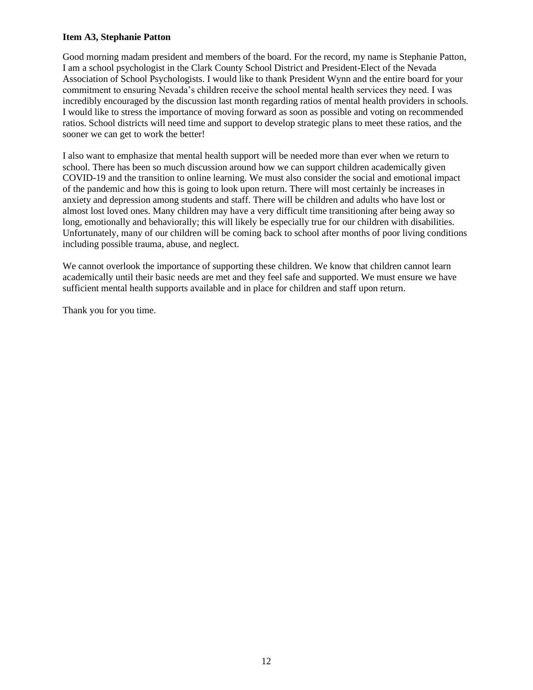### **Item A3, Stephanie Patton**

Good morning madam president and members of the board. For the record, my name is Stephanie Patton, I am a school psychologist in the Clark County School District and President-Elect of the Nevada Association of School Psychologists. I would like to thank President Wynn and the entire board for your commitment to ensuring Nevada's children receive the school mental health services they need. I was incredibly encouraged by the discussion last month regarding ratios of mental health providers in schools. I would like to stress the importance of moving forward as soon as possible and voting on recommended ratios. School districts will need time and support to develop strategic plans to meet these ratios, and the sooner we can get to work the better!

I also want to emphasize that mental health support will be needed more than ever when we return to school. There has been so much discussion around how we can support children academically given COVID-19 and the transition to online learning. We must also consider the social and emotional impact of the pandemic and how this is going to look upon return. There will most certainly be increases in anxiety and depression among students and staff. There will be children and adults who have lost or almost lost loved ones. Many children may have a very difficult time transitioning after being away so long, emotionally and behaviorally; this will likely be especially true for our children with disabilities. Unfortunately, many of our children will be coming back to school after months of poor living conditions including possible trauma, abuse, and neglect.

We cannot overlook the importance of supporting these children. We know that children cannot learn academically until their basic needs are met and they feel safe and supported. We must ensure we have sufficient mental health supports available and in place for children and staff upon return.

Thank you for you time.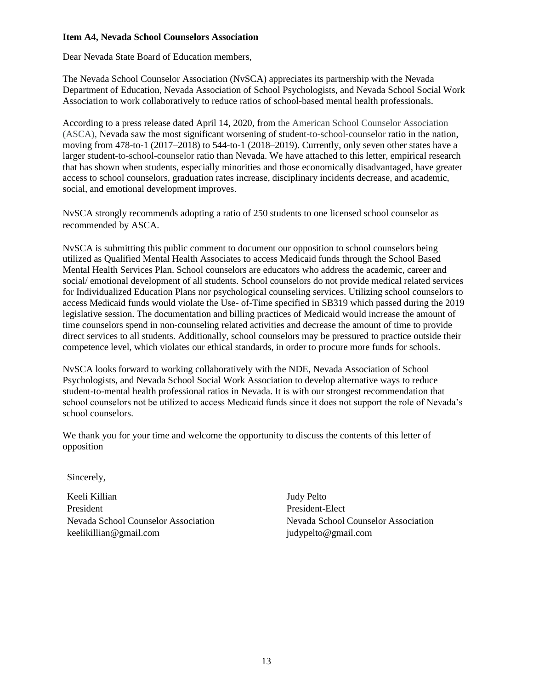### **Item A4, Nevada School Counselors Association**

Dear Nevada State Board of Education members,

The Nevada School Counselor Association (NvSCA) appreciates its partnership with the Nevada Department of Education, Nevada Association of School Psychologists, and Nevada School Social Work Association to work collaboratively to reduce ratios of school-based mental health professionals.

According to a press release dated April 14, 2020, from the American School Counselor Association (ASCA), Nevada saw the most significant worsening of student-to-school-counselor ratio in the nation, moving from 478-to-1 (2017–2018) to 544-to-1 (2018–2019). Currently, only seven other states have a larger student-to-school-counselor ratio than Nevada. We have attached to this letter, empirical research that has shown when students, especially minorities and those economically disadvantaged, have greater access to school counselors, graduation rates increase, disciplinary incidents decrease, and academic, social, and emotional development improves.

NvSCA strongly recommends adopting a ratio of 250 students to one licensed school counselor as recommended by ASCA.

NvSCA is submitting this public comment to document our opposition to school counselors being utilized as Qualified Mental Health Associates to access Medicaid funds through the School Based Mental Health Services Plan. School counselors are educators who address the academic, career and social/ emotional development of all students. School counselors do not provide medical related services for Individualized Education Plans nor psychological counseling services. Utilizing school counselors to access Medicaid funds would violate the Use- of-Time specified in SB319 which passed during the 2019 legislative session. The documentation and billing practices of Medicaid would increase the amount of time counselors spend in non-counseling related activities and decrease the amount of time to provide direct services to all students. Additionally, school counselors may be pressured to practice outside their competence level, which violates our ethical standards, in order to procure more funds for schools.

NvSCA looks forward to working collaboratively with the NDE, Nevada Association of School Psychologists, and Nevada School Social Work Association to develop alternative ways to reduce student-to-mental health professional ratios in Nevada. It is with our strongest recommendation that school counselors not be utilized to access Medicaid funds since it does not support the role of Nevada's school counselors.

We thank you for your time and welcome the opportunity to discuss the contents of this letter of opposition

Sincerely,

Keeli Killian Judy Pelto President President-Elect Nevada School Counselor Association Nevada School Counselor Association [keelikillian@gmail.com](mailto:keelikillian@gmail.com) [judypelto@gmail.com](mailto:judypelto@gmail.com)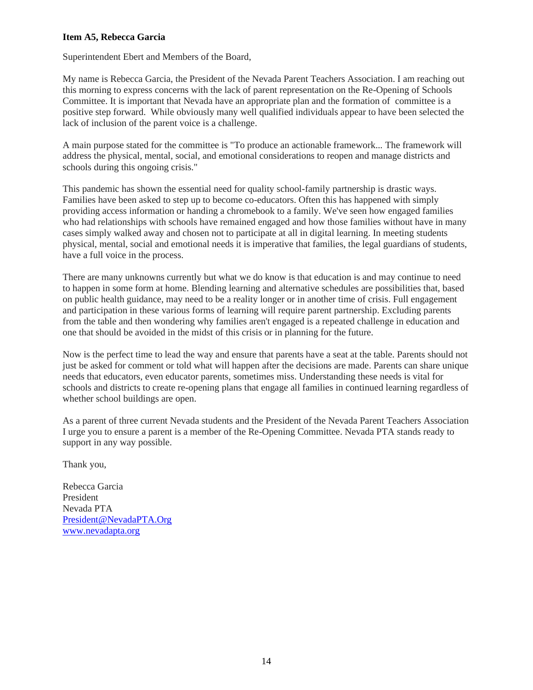### **Item A5, Rebecca Garcia**

Superintendent Ebert and Members of the Board,

My name is Rebecca Garcia, the President of the Nevada Parent Teachers Association. I am reaching out this morning to express concerns with the lack of parent representation on the Re-Opening of Schools Committee. It is important that Nevada have an appropriate plan and the formation of committee is a positive step forward. While obviously many well qualified individuals appear to have been selected the lack of inclusion of the parent voice is a challenge.

A main purpose stated for the committee is "To produce an actionable framework... The framework will address the physical, mental, social, and emotional considerations to reopen and manage districts and schools during this ongoing crisis."

This pandemic has shown the essential need for quality school-family partnership is drastic ways. Families have been asked to step up to become co-educators. Often this has happened with simply providing access information or handing a chromebook to a family. We've seen how engaged families who had relationships with schools have remained engaged and how those families without have in many cases simply walked away and chosen not to participate at all in digital learning. In meeting students physical, mental, social and emotional needs it is imperative that families, the legal guardians of students, have a full voice in the process.

There are many unknowns currently but what we do know is that education is and may continue to need to happen in some form at home. Blending learning and alternative schedules are possibilities that, based on public health guidance, may need to be a reality longer or in another time of crisis. Full engagement and participation in these various forms of learning will require parent partnership. Excluding parents from the table and then wondering why families aren't engaged is a repeated challenge in education and one that should be avoided in the midst of this crisis or in planning for the future.

Now is the perfect time to lead the way and ensure that parents have a seat at the table. Parents should not just be asked for comment or told what will happen after the decisions are made. Parents can share unique needs that educators, even educator parents, sometimes miss. Understanding these needs is vital for schools and districts to create re-opening plans that engage all families in continued learning regardless of whether school buildings are open.

As a parent of three current Nevada students and the President of the Nevada Parent Teachers Association I urge you to ensure a parent is a member of the Re-Opening Committee. Nevada PTA stands ready to support in any way possible.

Thank you,

Rebecca Garcia President Nevada PTA [President@NevadaPTA.Org](mailto:President@NevadaPTA.Org) [www.nevadapta.org](http://www.nevadapta.org/)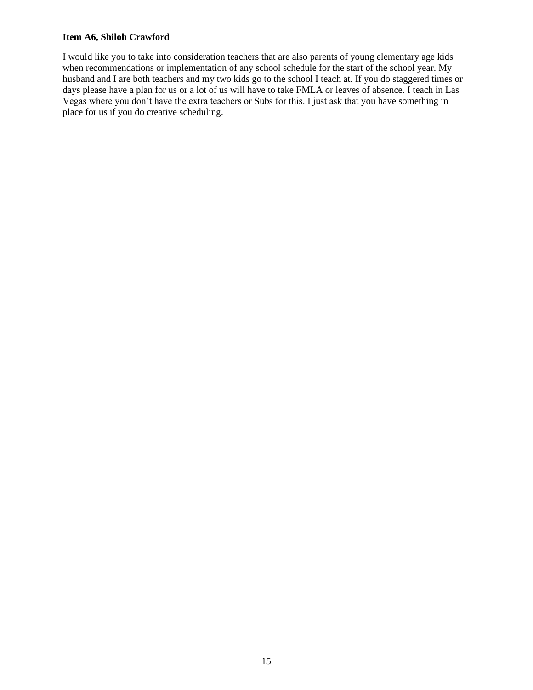### **Item A6, Shiloh Crawford**

I would like you to take into consideration teachers that are also parents of young elementary age kids when recommendations or implementation of any school schedule for the start of the school year. My husband and I are both teachers and my two kids go to the school I teach at. If you do staggered times or days please have a plan for us or a lot of us will have to take FMLA or leaves of absence. I teach in Las Vegas where you don't have the extra teachers or Subs for this. I just ask that you have something in place for us if you do creative scheduling.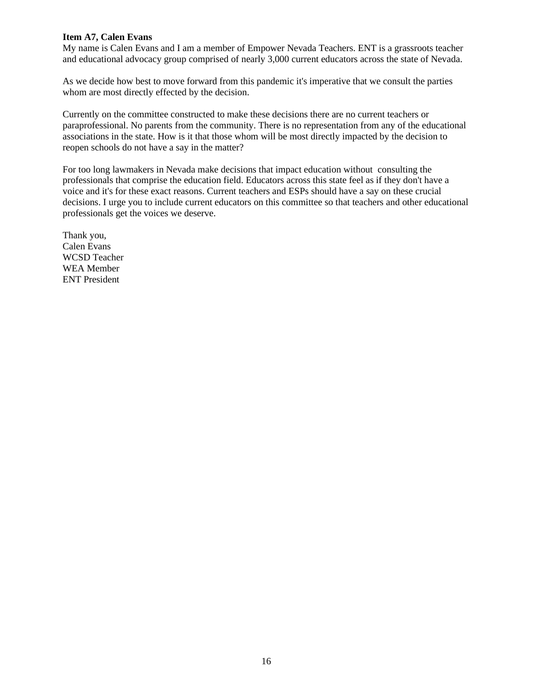### **Item A7, Calen Evans**

My name is Calen Evans and I am a member of Empower Nevada Teachers. ENT is a grassroots teacher and educational advocacy group comprised of nearly 3,000 current educators across the state of Nevada.

As we decide how best to move forward from this pandemic it's imperative that we consult the parties whom are most directly effected by the decision.

Currently on the committee constructed to make these decisions there are no current teachers or paraprofessional. No parents from the community. There is no representation from any of the educational associations in the state. How is it that those whom will be most directly impacted by the decision to reopen schools do not have a say in the matter?

For too long lawmakers in Nevada make decisions that impact education without consulting the professionals that comprise the education field. Educators across this state feel as if they don't have a voice and it's for these exact reasons. Current teachers and ESPs should have a say on these crucial decisions. I urge you to include current educators on this committee so that teachers and other educational professionals get the voices we deserve.

Thank you, Calen Evans WCSD Teacher WEA Member ENT President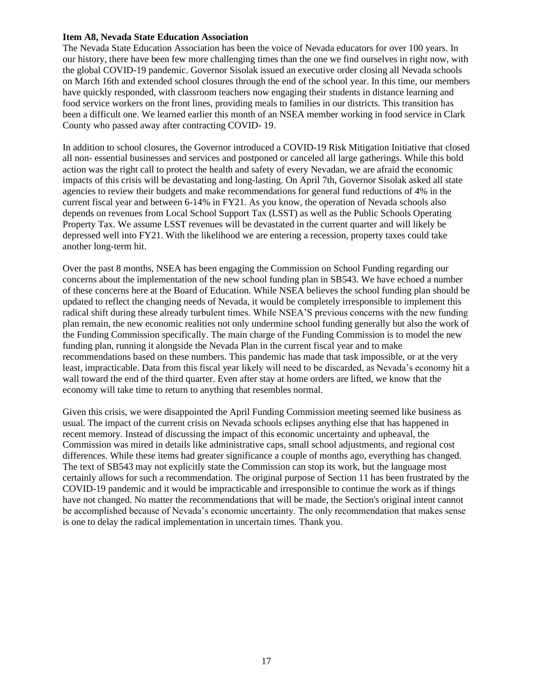#### **Item A8, Nevada State Education Association**

The Nevada State Education Association has been the voice of Nevada educators for over 100 years. In our history, there have been few more challenging times than the one we find ourselves in right now, with the global COVID-19 pandemic. Governor Sisolak issued an executive order closing all Nevada schools on March 16th and extended school closures through the end of the school year. In this time, our members have quickly responded, with classroom teachers now engaging their students in distance learning and food service workers on the front lines, providing meals to families in our districts. This transition has been a difficult one. We learned earlier this month of an NSEA member working in food service in Clark County who passed away after contracting COVID- 19.

In addition to school closures, the Governor introduced a COVID-19 Risk Mitigation Initiative that closed all non- essential businesses and services and postponed or canceled all large gatherings. While this bold action was the right call to protect the health and safety of every Nevadan, we are afraid the economic impacts of this crisis will be devastating and long-lasting. On April 7th, Governor Sisolak asked all state agencies to review their budgets and make recommendations for general fund reductions of 4% in the current fiscal year and between 6-14% in FY21. As you know, the operation of Nevada schools also depends on revenues from Local School Support Tax (LSST) as well as the Public Schools Operating Property Tax. We assume LSST revenues will be devastated in the current quarter and will likely be depressed well into FY21. With the likelihood we are entering a recession, property taxes could take another long-term hit.

Over the past 8 months, NSEA has been engaging the Commission on School Funding regarding our concerns about the implementation of the new school funding plan in SB543. We have echoed a number of these concerns here at the Board of Education. While NSEA believes the school funding plan should be updated to reflect the changing needs of Nevada, it would be completely irresponsible to implement this radical shift during these already turbulent times. While NSEA'S previous concerns with the new funding plan remain, the new economic realities not only undermine school funding generally but also the work of the Funding Commission specifically. The main charge of the Funding Commission is to model the new funding plan, running it alongside the Nevada Plan in the current fiscal year and to make recommendations based on these numbers. This pandemic has made that task impossible, or at the very least, impracticable. Data from this fiscal year likely will need to be discarded, as Nevada's economy hit a wall toward the end of the third quarter. Even after stay at home orders are lifted, we know that the economy will take time to return to anything that resembles normal.

Given this crisis, we were disappointed the April Funding Commission meeting seemed like business as usual. The impact of the current crisis on Nevada schools eclipses anything else that has happened in recent memory. Instead of discussing the impact of this economic uncertainty and upheaval, the Commission was mired in details like administrative caps, small school adjustments, and regional cost differences. While these items had greater significance a couple of months ago, everything has changed. The text of SB543 may not explicitly state the Commission can stop its work, but the language most certainly allows for such a recommendation. The original purpose of Section 11 has been frustrated by the COVID-19 pandemic and it would be impracticable and irresponsible to continue the work as if things have not changed. No matter the recommendations that will be made, the Section's original intent cannot be accomplished because of Nevada's economic uncertainty. The only recommendation that makes sense is one to delay the radical implementation in uncertain times. Thank you.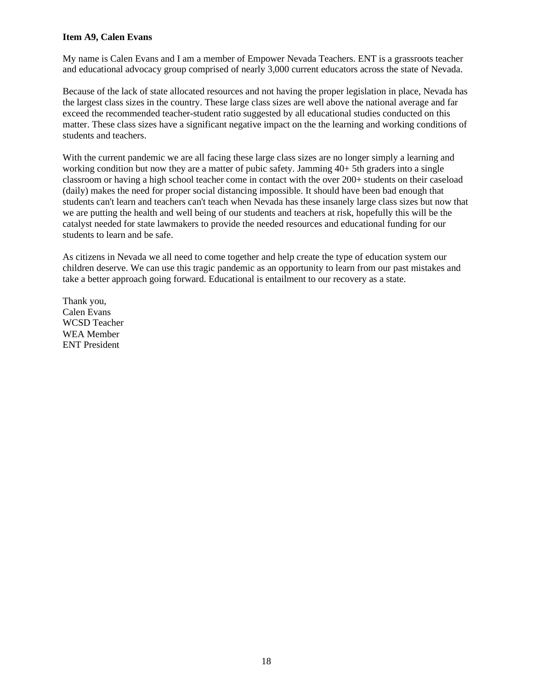### **Item A9, Calen Evans**

My name is Calen Evans and I am a member of Empower Nevada Teachers. ENT is a grassroots teacher and educational advocacy group comprised of nearly 3,000 current educators across the state of Nevada.

Because of the lack of state allocated resources and not having the proper legislation in place, Nevada has the largest class sizes in the country. These large class sizes are well above the national average and far exceed the recommended teacher-student ratio suggested by all educational studies conducted on this matter. These class sizes have a significant negative impact on the the learning and working conditions of students and teachers.

With the current pandemic we are all facing these large class sizes are no longer simply a learning and working condition but now they are a matter of pubic safety. Jamming 40+ 5th graders into a single classroom or having a high school teacher come in contact with the over 200+ students on their caseload (daily) makes the need for proper social distancing impossible. It should have been bad enough that students can't learn and teachers can't teach when Nevada has these insanely large class sizes but now that we are putting the health and well being of our students and teachers at risk, hopefully this will be the catalyst needed for state lawmakers to provide the needed resources and educational funding for our students to learn and be safe.

As citizens in Nevada we all need to come together and help create the type of education system our children deserve. We can use this tragic pandemic as an opportunity to learn from our past mistakes and take a better approach going forward. Educational is entailment to our recovery as a state.

Thank you, Calen Evans WCSD Teacher WEA Member ENT President